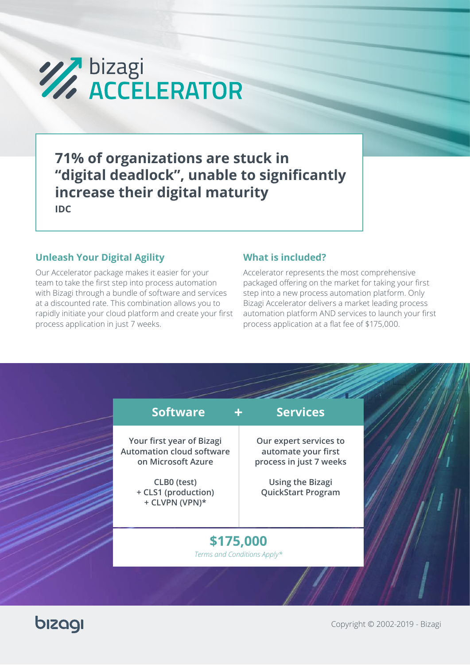

**71% of organizations are stuck in "digital deadlock", unable to significantly increase their digital maturity IDC**

# **Unleash Your Digital Agility <b>What is included?**

Our Accelerator package makes it easier for your team to take the first step into process automation with Bizagi through a bundle of software and services at a discounted rate. This combination allows you to rapidly initiate your cloud platform and create your first process application in just 7 weeks.

Accelerator represents the most comprehensive packaged offering on the market for taking your first step into a new process automation platform. Only Bizagi Accelerator delivers a market leading process automation platform AND services to launch your first process application at a flat fee of \$175,000.

| <b>Software</b>                                                                     | <b>Services</b>                                                          |  |
|-------------------------------------------------------------------------------------|--------------------------------------------------------------------------|--|
| Your first year of Bizagi<br><b>Automation cloud software</b><br>on Microsoft Azure | Our expert services to<br>automate your first<br>process in just 7 weeks |  |
| CLB0 (test)<br>+ CLS1 (production)<br>+ CLVPN (VPN)*                                | <b>Using the Bizagi</b><br><b>QuickStart Program</b>                     |  |
| \$175,000<br>Terms and Conditions Apply*                                            |                                                                          |  |

bizagi